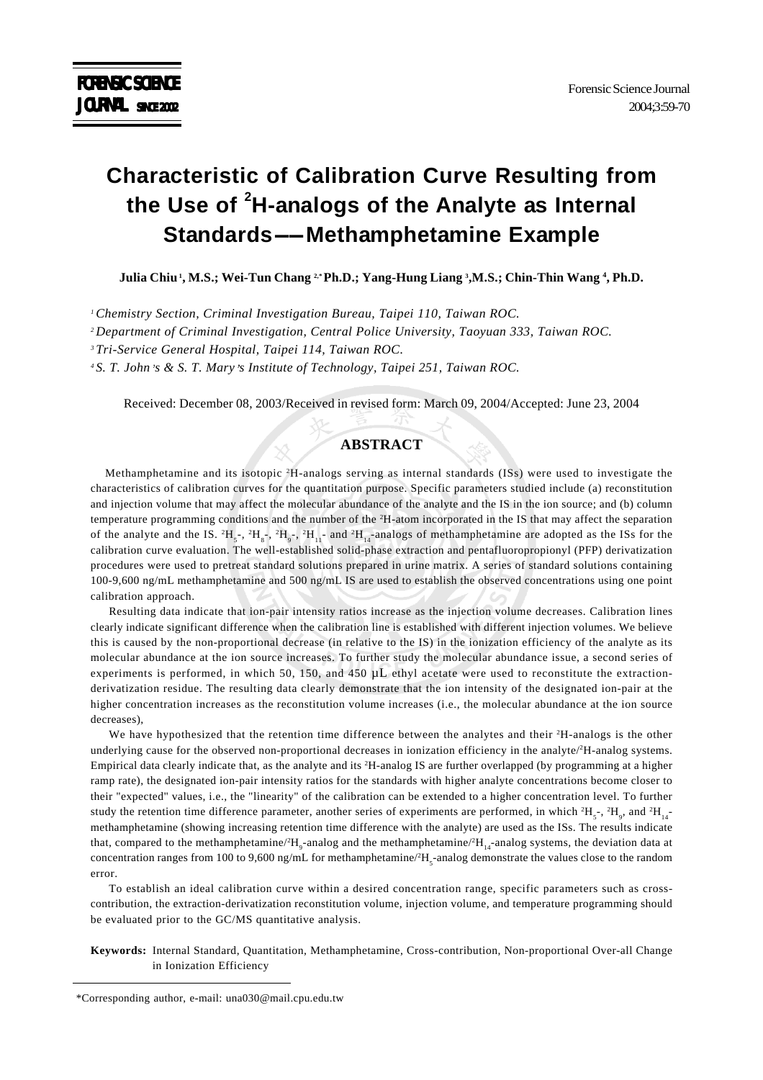# **Characteristic of Calibration Curve Resulting from the Use of <sup>2</sup> H-analogs of the Analyte as Internal Standards-Methamphetamine Example**

**Julia Chiu 1, M.S.; Wei-Tun Chang 2,\* Ph.D.; Yang-Hung Liang 3 ,M.S.; Chin-Thin Wang 4 , Ph.D.**

*1 Chemistry Section, Criminal Investigation Bureau, Taipei 110, Taiwan ROC.*

*2 Department of Criminal Investigation, Central Police University, Taoyuan 333, Taiwan ROC.*

*3 Tri-Service General Hospital, Taipei 114, Taiwan ROC.*

*4 S. T. John s & S. T. Mary s Institute of Technology, Taipei 251, Taiwan ROC.*

Received: December 08, 2003/Received in revised form: March 09, 2004/Accepted: June 23, 2004

## **ABSTRACT**

Methamphetamine and its isotopic <sup>2</sup>H-analogs serving as internal standards (ISs) were used to investigate the characteristics of calibration curves for the quantitation purpose. Specific parameters studied include (a) reconstitution and injection volume that may affect the molecular abundance of the analyte and the IS in the ion source; and (b) column temperature programming conditions and the number of the 2 H-atom incorporated in the IS that may affect the separation of the analyte and the IS.  ${}^{2}H_{5}$ ,  ${}^{2}H_{8}$ ,  ${}^{2}H_{9}$ ,  ${}^{2}H_{11}$  and  ${}^{2}H_{14}$  analogs of methamphetamine are adopted as the ISs for the calibration curve evaluation. The well-established solid-phase extraction and pentafluoropropionyl (PFP) derivatization procedures were used to pretreat standard solutions prepared in urine matrix. A series of standard solutions containing 100-9,600 ng/mL methamphetamine and 500 ng/mL IS are used to establish the observed concentrations using one point calibration approach.

Resulting data indicate that ion-pair intensity ratios increase as the injection volume decreases. Calibration lines clearly indicate significant difference when the calibration line is established with different injection volumes. We believe this is caused by the non-proportional decrease (in relative to the IS) in the ionization efficiency of the analyte as its molecular abundance at the ion source increases. To further study the molecular abundance issue, a second series of experiments is performed, in which 50, 150, and 450 µL ethyl acetate were used to reconstitute the extractionderivatization residue. The resulting data clearly demonstrate that the ion intensity of the designated ion-pair at the higher concentration increases as the reconstitution volume increases (i.e., the molecular abundance at the ion source decreases),

We have hypothesized that the retention time difference between the analytes and their <sup>2</sup>H-analogs is the other underlying cause for the observed non-proportional decreases in ionization efficiency in the analyte/2 H-analog systems. Empirical data clearly indicate that, as the analyte and its <sup>2</sup>H-analog IS are further overlapped (by programming at a higher ramp rate), the designated ion-pair intensity ratios for the standards with higher analyte concentrations become closer to their "expected" values, i.e., the "linearity" of the calibration can be extended to a higher concentration level. To further study the retention time difference parameter, another series of experiments are performed, in which  ${}^{2}H_{5}$ <sup>-</sup>,  ${}^{2}H_{9}$ , and  ${}^{2}H_{14}$ <sup>-</sup> methamphetamine (showing increasing retention time difference with the analyte) are used as the ISs. The results indicate that, compared to the methamphetamine/ ${}^{2}H_{9}$ -analog and the methamphetamine/ ${}^{2}H_{14}$ -analog systems, the deviation data at concentration ranges from 100 to 9,600 ng/mL for methamphetamine/ ${}^2H_{5}$ -analog demonstrate the values close to the random error.

To establish an ideal calibration curve within a desired concentration range, specific parameters such as crosscontribution, the extraction-derivatization reconstitution volume, injection volume, and temperature programming should be evaluated prior to the GC/MS quantitative analysis.

**Keywords:** Internal Standard, Quantitation, Methamphetamine, Cross-contribution, Non-proportional Over-all Change in Ionization Efficiency

<sup>\*</sup>Corresponding author, e-mail: una030@mail.cpu.edu.tw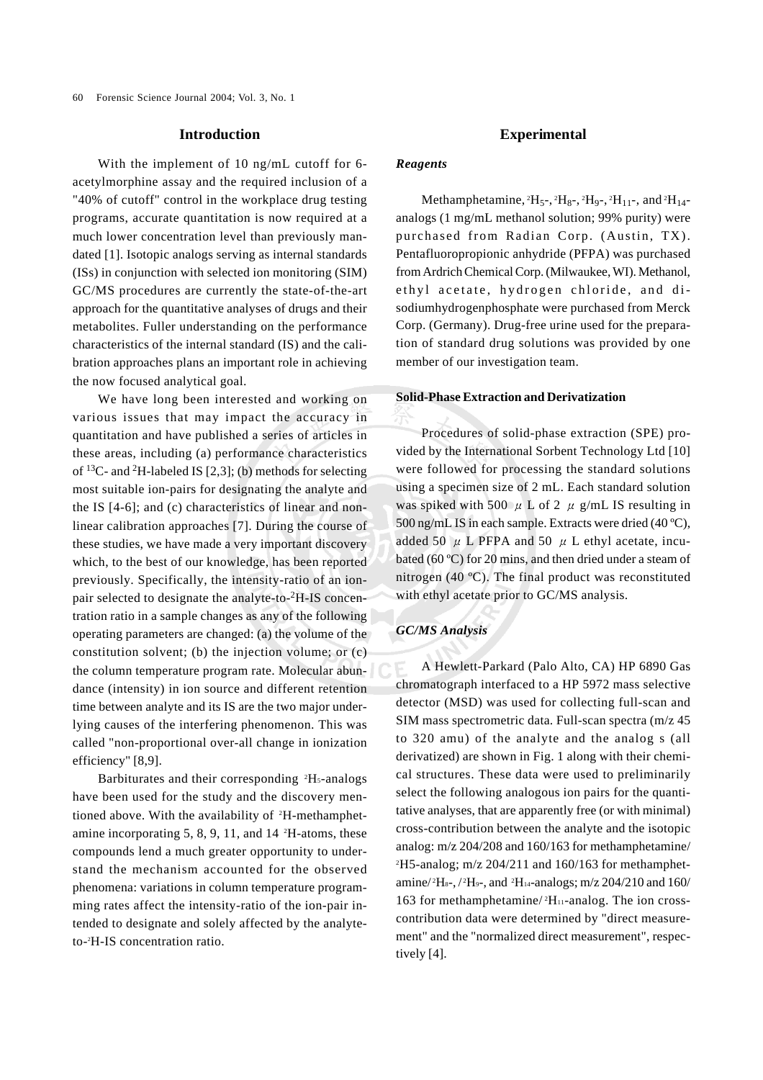#### **Introduction**

With the implement of 10 ng/mL cutoff for 6 acetylmorphine assay and the required inclusion of a "40% of cutoff" control in the workplace drug testing programs, accurate quantitation is now required at a much lower concentration level than previously mandated [1]. Isotopic analogs serving as internal standards (ISs) in conjunction with selected ion monitoring (SIM) GC/MS procedures are currently the state-of-the-art approach for the quantitative analyses of drugs and their metabolites. Fuller understanding on the performance characteristics of the internal standard (IS) and the calibration approaches plans an important role in achieving the now focused analytical goal.

We have long been interested and working on various issues that may impact the accuracy in quantitation and have published a series of articles in these areas, including (a) performance characteristics of  $^{13}$ C- and  $^{2}$ H-labeled IS [2,3]; (b) methods for selecting most suitable ion-pairs for designating the analyte and the IS [4-6]; and (c) characteristics of linear and nonlinear calibration approaches [7]. During the course of these studies, we have made a very important discovery which, to the best of our knowledge, has been reported previously. Specifically, the intensity-ratio of an ionpair selected to designate the analyte-to-2H-IS concentration ratio in a sample changes as any of the following operating parameters are changed: (a) the volume of the constitution solvent; (b) the injection volume; or (c) the column temperature program rate. Molecular abundance (intensity) in ion source and different retention time between analyte and its IS are the two major underlying causes of the interfering phenomenon. This was called "non-proportional over-all change in ionization efficiency" [8,9].

Barbiturates and their corresponding <sup>2</sup>H<sub>5</sub>-analogs have been used for the study and the discovery mentioned above. With the availability of <sup>2</sup>H-methamphetamine incorporating 5, 8, 9, 11, and 14 2 H-atoms, these compounds lend a much greater opportunity to understand the mechanism accounted for the observed phenomena: variations in column temperature programming rates affect the intensity-ratio of the ion-pair intended to designate and solely affected by the analyteto-2 H-IS concentration ratio.

## **Experimental**

#### *Reagents*

Methamphetamine,  ${}^{2}H_{5}$ -,  ${}^{2}H_{8}$ -,  ${}^{2}H_{9}$ -,  ${}^{2}H_{11}$ -, and  ${}^{2}H_{14}$ analogs (1 mg/mL methanol solution; 99% purity) were purchased from Radian Corp. (Austin, TX). Pentafluoropropionic anhydride (PFPA) was purchased from Ardrich Chemical Corp. (Milwaukee, WI). Methanol, ethyl acetate, hydrogen chloride, and disodiumhydrogenphosphate were purchased from Merck Corp. (Germany). Drug-free urine used for the preparation of standard drug solutions was provided by one member of our investigation team.

#### **Solid-Phase Extraction and Derivatization**

Procedures of solid-phase extraction (SPE) provided by the International Sorbent Technology Ltd [10] were followed for processing the standard solutions using a specimen size of 2 mL. Each standard solution was spiked with 500  $\mu$  L of 2  $\mu$  g/mL IS resulting in 500 ng/mL IS in each sample. Extracts were dried (40 ºC), added 50  $\mu$  L PFPA and 50  $\mu$  L ethyl acetate, incubated (60 ºC) for 20 mins, and then dried under a steam of nitrogen (40 ºC). The final product was reconstituted with ethyl acetate prior to GC/MS analysis.

#### *GC/MS Analysis*

A Hewlett-Parkard (Palo Alto, CA) HP 6890 Gas chromatograph interfaced to a HP 5972 mass selective detector (MSD) was used for collecting full-scan and SIM mass spectrometric data. Full-scan spectra (m/z 45 to 320 amu) of the analyte and the analog s (all derivatized) are shown in Fig. 1 along with their chemical structures. These data were used to preliminarily select the following analogous ion pairs for the quantitative analyses, that are apparently free (or with minimal) cross-contribution between the analyte and the isotopic analog: m/z 204/208 and 160/163 for methamphetamine/ 2 H5-analog; m/z 204/211 and 160/163 for methamphetamine/<sup>2</sup>H<sub>8</sub>-, /<sup>2</sup>H<sub>9</sub>-, and <sup>2</sup>H<sub>14</sub>-analogs; m/z 204/210 and 160/ 163 for methamphetamine/<sup>2</sup>H<sub>11</sub>-analog. The ion crosscontribution data were determined by "direct measurement" and the "normalized direct measurement", respectively [4].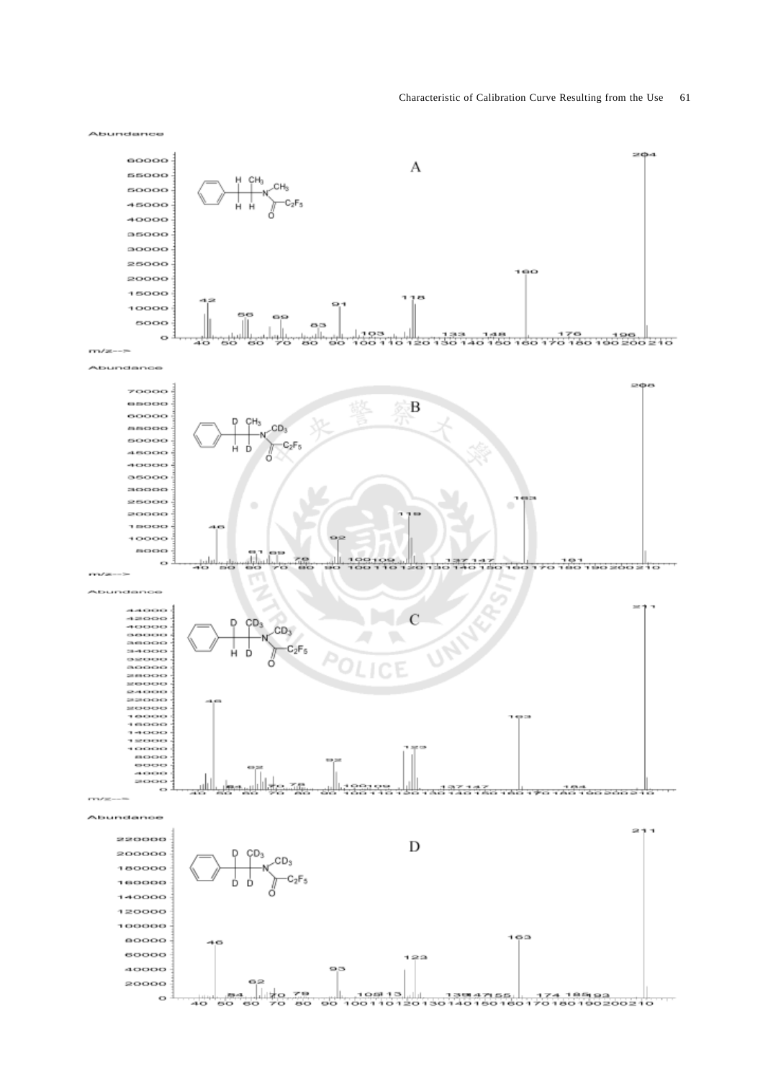



Z)

 $\overline{50}$ 

 $\overline{\mathbf{56}}$ 

85.42

80

40  $\overline{\phantom{0}}$ 

 $\circ$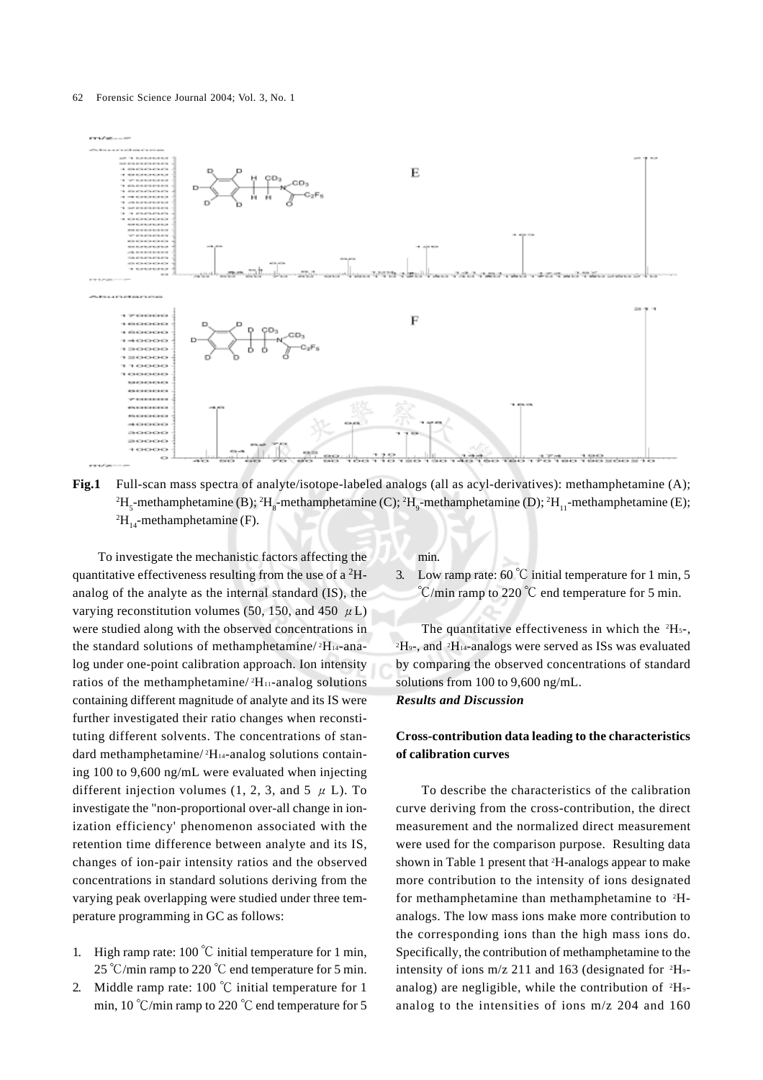

**Fig.1** Full-scan mass spectra of analyte/isotope-labeled analogs (all as acyl-derivatives): methamphetamine (A);  ${}^{2}H_{5}$ -methamphetamine (B);  ${}^{2}H_{8}$ -methamphetamine (C);  ${}^{2}H_{9}$ -methamphetamine (D);  ${}^{2}H_{11}$ -methamphetamine (E);  ${}^{2}H_{14}$ -methamphetamine (F).

To investigate the mechanistic factors affecting the quantitative effectiveness resulting from the use of a  ${}^{2}$ Hanalog of the analyte as the internal standard (IS), the varying reconstitution volumes (50, 150, and 450  $\mu$  L) were studied along with the observed concentrations in the standard solutions of methamphetamine/ 2H14-analog under one-point calibration approach. Ion intensity ratios of the methamphetamine/<sup>2</sup>H<sub>11</sub>-analog solutions containing different magnitude of analyte and its IS were further investigated their ratio changes when reconstituting different solvents. The concentrations of standard methamphetamine/ ${}^{2}H_{14}$ -analog solutions containing 100 to 9,600 ng/mL were evaluated when injecting different injection volumes (1, 2, 3, and 5  $\mu$  L). To investigate the "non-proportional over-all change in ionization efficiency' phenomenon associated with the retention time difference between analyte and its IS, changes of ion-pair intensity ratios and the observed concentrations in standard solutions deriving from the varying peak overlapping were studied under three temperature programming in GC as follows:

- 1. High ramp rate: 100  $\degree$ C initial temperature for 1 min, 25 °C/min ramp to 220 °C end temperature for 5 min.
- 2. Middle ramp rate: 100  $\degree$ C initial temperature for 1 min, 10 °C/min ramp to 220 °C end temperature for 5

min.

3. Low ramp rate: 60  $\degree$ C initial temperature for 1 min, 5  $\degree$ C/min ramp to 220  $\degree$ C end temperature for 5 min.

The quantitative effectiveness in which the  $2H_5$ -, <sup>2</sup>H<sub>9</sub>-, and <sup>2</sup>H<sub>14</sub>-analogs were served as ISs was evaluated by comparing the observed concentrations of standard solutions from 100 to 9,600 ng/mL. *Results and Discussion*

# **Cross-contribution data leading to the characteristics of calibration curves**

To describe the characteristics of the calibration curve deriving from the cross-contribution, the direct measurement and the normalized direct measurement were used for the comparison purpose. Resulting data shown in Table 1 present that <sup>2</sup>H-analogs appear to make more contribution to the intensity of ions designated for methamphetamine than methamphetamine to  ${}^{2}H$ analogs. The low mass ions make more contribution to the corresponding ions than the high mass ions do. Specifically, the contribution of methamphetamine to the intensity of ions  $m/z$  211 and 163 (designated for  $^2H_9$ analog) are negligible, while the contribution of  $^2H_9$ analog to the intensities of ions m/z 204 and 160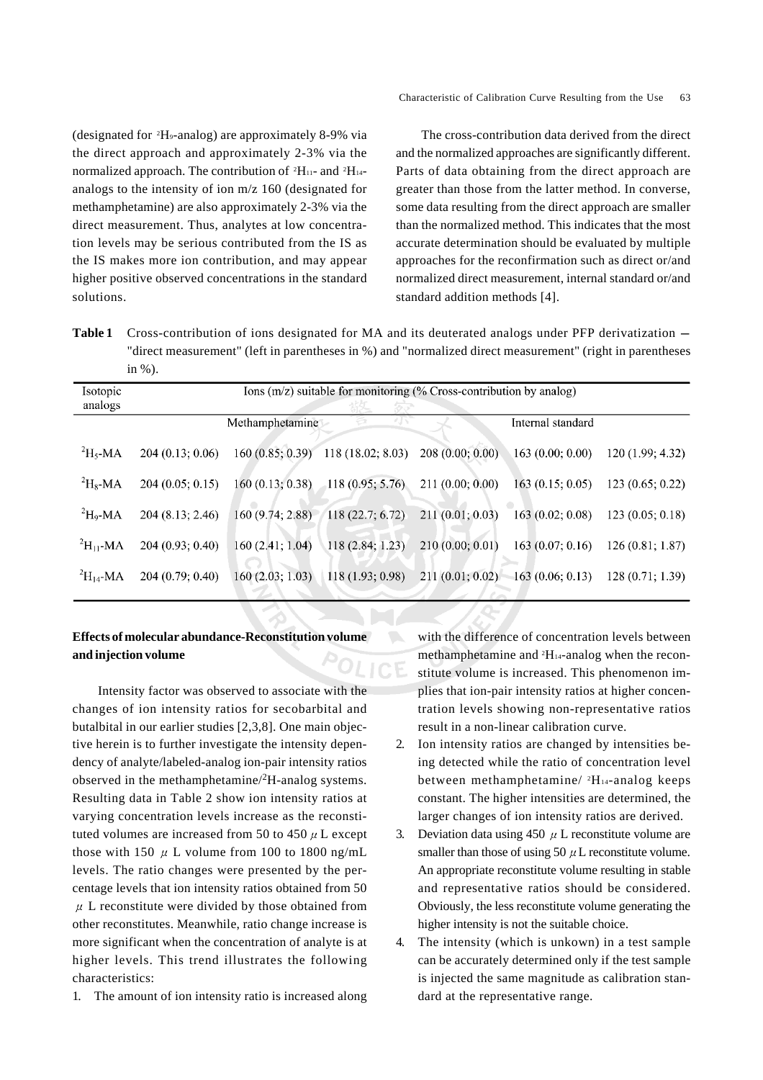(designated for 2 H9-analog) are approximately 8-9% via the direct approach and approximately 2-3% via the normalized approach. The contribution of  $^2$ H<sub>11</sub>- and  $^2$ H<sub>14</sub>analogs to the intensity of ion m/z 160 (designated for methamphetamine) are also approximately 2-3% via the direct measurement. Thus, analytes at low concentration levels may be serious contributed from the IS as the IS makes more ion contribution, and may appear higher positive observed concentrations in the standard solutions.

The cross-contribution data derived from the direct and the normalized approaches are significantly different. Parts of data obtaining from the direct approach are greater than those from the latter method. In converse, some data resulting from the direct approach are smaller than the normalized method. This indicates that the most accurate determination should be evaluated by multiple approaches for the reconfirmation such as direct or/and normalized direct measurement, internal standard or/and standard addition methods [4].

**Table 1** Cross-contribution of ions designated for MA and its deuterated analogs under PFP derivatization – "direct measurement" (left in parentheses in %) and "normalized direct measurement" (right in parentheses in %).

| <i>Isotopic</i><br>analogs | Ions $(m/z)$ suitable for monitoring (% Cross-contribution by analog) |                 |                                    |                 |                    |                 |  |  |  |  |
|----------------------------|-----------------------------------------------------------------------|-----------------|------------------------------------|-----------------|--------------------|-----------------|--|--|--|--|
|                            |                                                                       | Methamphetamine |                                    |                 | Internal standard  |                 |  |  |  |  |
| ${}^{2}H_{5}$ -MA          | 204(0.13; 0.06)                                                       |                 | 160 (0.85; 0.39) 118 (18.02; 8.03) | 208(0.00; 0.00) | 163(0.00; 0.00)    | 120(1.99; 4.32) |  |  |  |  |
| ${}^{2}H_{8}$ -MA          | 204(0.05; 0.15)                                                       | 160(0.13; 0.38) | $-118(0.95; 5.76)$                 | 211(0.00; 0.00) | 163(0.15; 0.05)    | 123(0.65; 0.22) |  |  |  |  |
| ${}^{2}H_{9}$ -MA          | 204 (8.13; 2.46)                                                      | 160(9.74; 2.88) | 118(22.7; 6.72)                    | 211(0.01; 0.03) | 163(0.02; 0.08)    | 123(0.05; 0.18) |  |  |  |  |
| $\mathrm{^2H_{11}}$ -MA    | 204(0.93; 0.40)                                                       | 160(2.41; 1.04) | 118(2.84; 1.23)                    | 210(0.00; 0.01) | 163(0.07; 0.16)    | 126(0.81; 1.87) |  |  |  |  |
| $\mathrm{^{2}H_{14}}$ -MA  | 204(0.79; 0.40)                                                       | 160(2.03; 1.03) | 118(1.93; 0.98)                    | 211(0.01; 0.02) | $-163(0.06; 0.13)$ | 128(0.71; 1.39) |  |  |  |  |
|                            |                                                                       |                 |                                    |                 |                    |                 |  |  |  |  |

# **Effects of molecular abundance-Reconstitution volume and injection volume**

Intensity factor was observed to associate with the changes of ion intensity ratios for secobarbital and butalbital in our earlier studies [2,3,8]. One main objective herein is to further investigate the intensity dependency of analyte/labeled-analog ion-pair intensity ratios observed in the methamphetamine/2H-analog systems. Resulting data in Table 2 show ion intensity ratios at varying concentration levels increase as the reconstituted volumes are increased from 50 to 450  $\mu$  L except those with 150  $\mu$  L volume from 100 to 1800 ng/mL levels. The ratio changes were presented by the percentage levels that ion intensity ratios obtained from 50  $\mu$  L reconstitute were divided by those obtained from other reconstitutes. Meanwhile, ratio change increase is more significant when the concentration of analyte is at higher levels. This trend illustrates the following characteristics:

1. The amount of ion intensity ratio is increased along

with the difference of concentration levels between methamphetamine and <sup>2</sup>H<sub>14</sub>-analog when the reconstitute volume is increased. This phenomenon implies that ion-pair intensity ratios at higher concentration levels showing non-representative ratios result in a non-linear calibration curve.

- 2. Ion intensity ratios are changed by intensities being detected while the ratio of concentration level between methamphetamine/ 2H14-analog keeps constant. The higher intensities are determined, the larger changes of ion intensity ratios are derived.
- 3. Deviation data using 450  $\mu$  L reconstitute volume are smaller than those of using 50  $\mu$  L reconstitute volume. An appropriate reconstitute volume resulting in stable and representative ratios should be considered. Obviously, the less reconstitute volume generating the higher intensity is not the suitable choice.
- 4. The intensity (which is unkown) in a test sample can be accurately determined only if the test sample is injected the same magnitude as calibration standard at the representative range.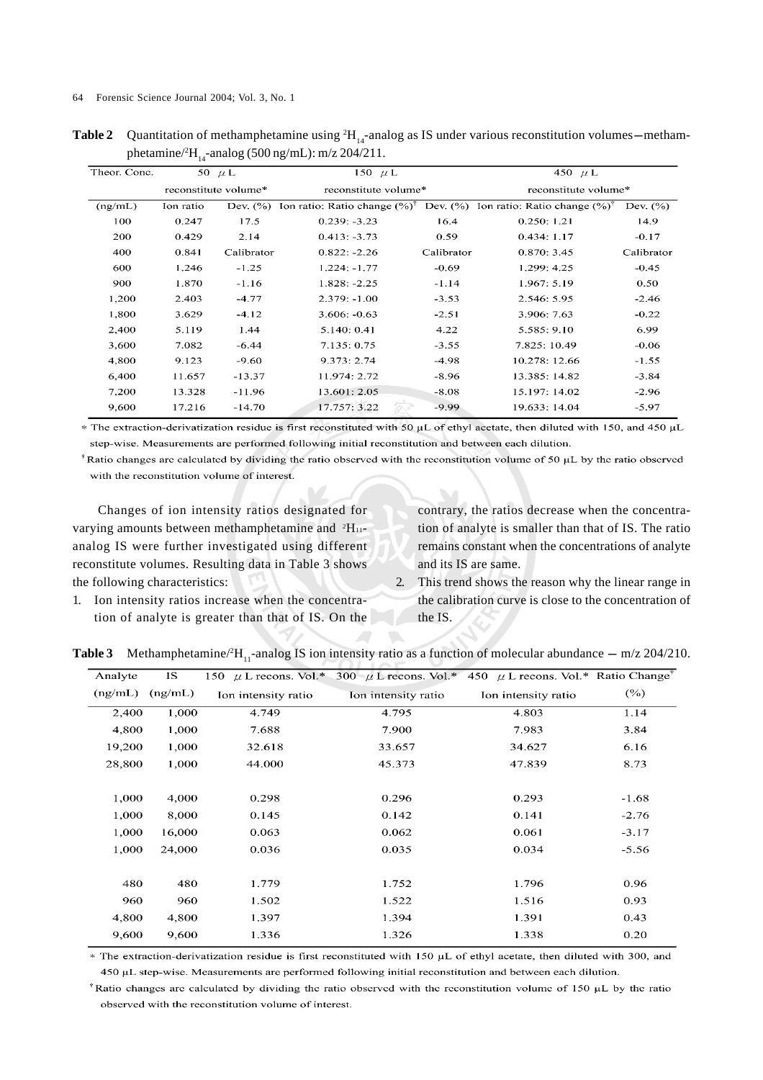**Table 2** Quantitation of methamphetamine using  ${}^{2}H_{14}$ -analog as IS under various reconstitution volumes—methamphetamine/ ${}^{2}$ H<sub>14</sub>-analog (500 ng/mL): m/z 204/211.

| Theor. Conc. | 50 $\mu$ L           |             | 150 $\mu$ L                              |              | 450 $\mu$ L                              |              |  |
|--------------|----------------------|-------------|------------------------------------------|--------------|------------------------------------------|--------------|--|
|              | reconstitute volume* |             | reconstitute volume*                     |              | reconstitute volume*                     |              |  |
| (ng/mL)      | Ion ratio            | Dev. $(\%)$ | Ion ratio: Ratio change $(\%)^{\dagger}$ | Dev. $(\% )$ | Ion ratio: Ratio change $(\%)^{\dagger}$ | Dev. $(\% )$ |  |
| 100          | 0.247                | 17.5        | $0.239: -3.23$                           | 16.4         | 0.250:1.21                               | 14.9         |  |
| 200          | 0.429                | 2.14        | $0.413: -3.73$                           | 0.59         | 0.434:1.17                               | $-0.17$      |  |
| 400          | 0.841                | Calibrator  | $0.822: -2.26$                           | Calibrator   | 0.870:3.45                               | Calibrator   |  |
| 600          | 1.246                | $-1.25$     | $1.224: -1.77$                           | $-0.69$      | 1.299: 4.25                              | $-0.45$      |  |
| 900          | 1.870                | $-1.16$     | $1.828: -2.25$                           | $-1.14$      | 1.967:5.19                               | 0.50         |  |
| 1,200        | 2.403                | $-4.77$     | $2.379: -1.00$                           | $-3.53$      | 2.546: 5.95                              | $-2.46$      |  |
| 1,800        | 3.629                | $-4.12$     | $3.606: -0.63$                           | $-2.51$      | 3.906: 7.63                              | $-0.22$      |  |
| 2,400        | 5.119                | 1.44        | 5.140: 0.41                              | 4.22         | 5.585:9.10                               | 6.99         |  |
| 3,600        | 7.082                | $-6.44$     | 7.135: 0.75                              | $-3.55$      | 7.825: 10.49                             | $-0.06$      |  |
| 4,800        | 9.123                | $-9.60$     | 9.373:2.74                               | $-4.98$      | 10.278: 12.66                            | $-1.55$      |  |
| 6,400        | 11.657               | $-13.37$    | 11.974: 2.72                             | $-8.96$      | 13.385: 14.82                            | $-3.84$      |  |
| 7,200        | 13.328               | $-11.96$    | 13.601: 2.05                             | $-8.08$      | 15.197: 14.02                            | $-2.96$      |  |
| 9,600        | 17.216               | $-14.70$    | 17.757: 3.22                             | $-9.99$      | 19.633: 14.04                            | $-5.97$      |  |

\* The extraction-derivatization residue is first reconstituted with 50 µL of ethyl acetate, then diluted with 150, and 450 µL step-wise. Measurements are performed following initial reconstitution and between each dilution.

 $^{\dagger}$  Ratio changes are calculated by dividing the ratio observed with the reconstitution volume of 50  $\mu$ L by the ratio observed with the reconstitution volume of interest.

Changes of ion intensity ratios designated for varying amounts between methamphetamine and <sup>2</sup>H<sub>11</sub>analog IS were further investigated using different reconstitute volumes. Resulting data in Table 3 shows the following characteristics:

contrary, the ratios decrease when the concentration of analyte is smaller than that of IS. The ratio remains constant when the concentrations of analyte and its IS are same.

1. Ion intensity ratios increase when the concentration of analyte is greater than that of IS. On the 2. This trend shows the reason why the linear range in the calibration curve is close to the concentration of the IS.

| Analyte | IS.     |                     | 150 $\mu$ L recons. Vol.* 300 $\mu$ L recons. Vol.* 450 $\mu$ L recons. Vol.* Ratio Change' |                     |         |
|---------|---------|---------------------|---------------------------------------------------------------------------------------------|---------------------|---------|
| (ng/mL) | (ng/mL) | Ion intensity ratio | Ion intensity ratio                                                                         | Ion intensity ratio | (%)     |
| 2,400   | 1,000   | 4.749               | 4.795                                                                                       | 4.803               | 1.14    |
| 4,800   | 1,000   | 7.688               | 7.900                                                                                       | 7.983               | 3.84    |
| 19,200  | 1,000   | 32.618              | 33.657                                                                                      | 34.627              | 6.16    |
| 28,800  | 1,000   | 44.000              | 45.373                                                                                      | 47.839              | 8.73    |
|         |         |                     |                                                                                             |                     |         |
| 1,000   | 4,000   | 0.298               | 0.296                                                                                       | 0.293               | $-1.68$ |
| 1,000   | 8,000   | 0.145               | 0.142                                                                                       | 0.141               | $-2.76$ |
| 1,000   | 16,000  | 0.063               | 0.062                                                                                       | 0.061               | $-3.17$ |
| 1,000   | 24,000  | 0.036               | 0.035                                                                                       | 0.034               | $-5.56$ |
|         |         |                     |                                                                                             |                     |         |
| 480     | 480     | 1.779               | 1.752                                                                                       | 1.796               | 0.96    |
| 960     | 960     | 1.502               | 1.522                                                                                       | 1.516               | 0.93    |
| 4,800   | 4,800   | 1.397               | 1.394                                                                                       | 1.391               | 0.43    |
| 9,600   | 9,600   | 1.336               | 1.326                                                                                       | 1.338               | 0.20    |

**Table 3** Methamphetamine/<sup>2</sup>H<sub>11</sub>-analog IS ion intensity ratio as a function of molecular abundance  $-$  m/z 204/210.

\* The extraction-derivatization residue is first reconstituted with 150 µL of ethyl acetate, then diluted with 300, and 450 µL step-wise. Measurements are performed following initial reconstitution and between each dilution.

<sup>†</sup>Ratio changes are calculated by dividing the ratio observed with the reconstitution volume of 150  $\mu$ L by the ratio observed with the reconstitution volume of interest.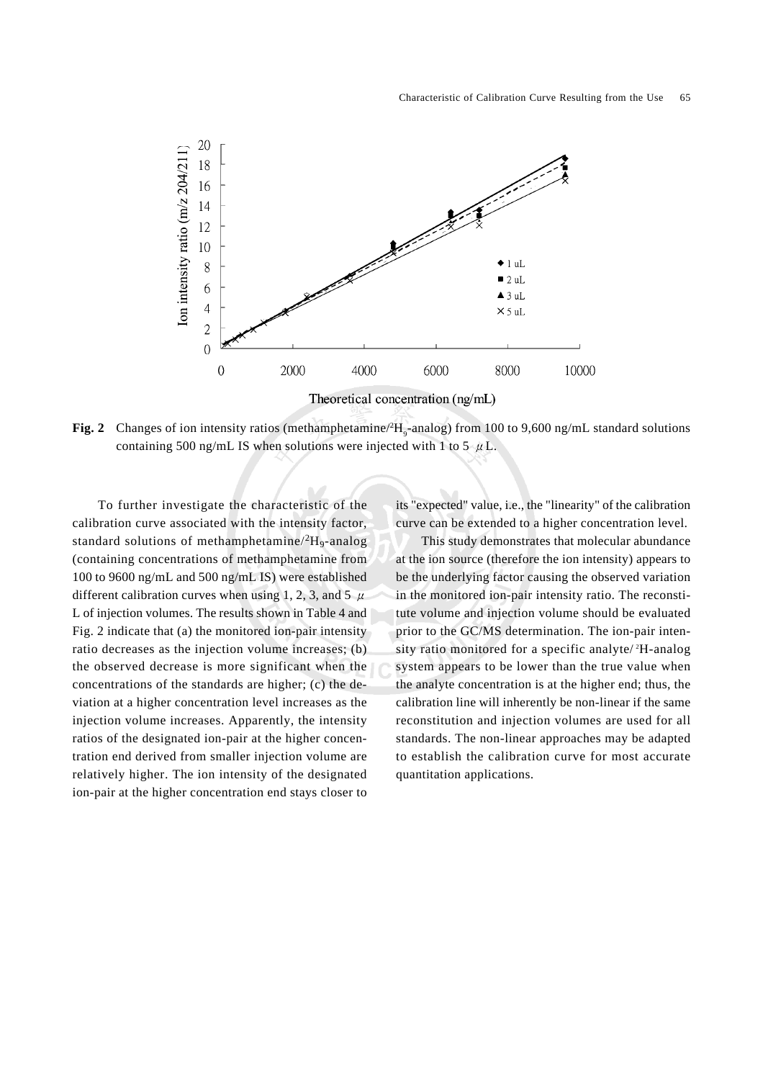

**Fig. 2** Changes of ion intensity ratios (methamphetamine/<sup>2</sup>H<sub>9</sub>-analog) from 100 to 9,600 ng/mL standard solutions containing 500 ng/mL IS when solutions were injected with 1 to 5  $\mu$  L.

To further investigate the characteristic of the calibration curve associated with the intensity factor, standard solutions of methamphetamine/ ${}^{2}H_{9}$ -analog (containing concentrations of methamphetamine from 100 to 9600 ng/mL and 500 ng/mL IS) were established different calibration curves when using 1, 2, 3, and 5  $\mu$ L of injection volumes. The results shown in Table 4 and Fig. 2 indicate that (a) the monitored ion-pair intensity ratio decreases as the injection volume increases; (b) the observed decrease is more significant when the concentrations of the standards are higher; (c) the deviation at a higher concentration level increases as the injection volume increases. Apparently, the intensity ratios of the designated ion-pair at the higher concentration end derived from smaller injection volume are relatively higher. The ion intensity of the designated ion-pair at the higher concentration end stays closer to

its "expected" value, i.e., the "linearity" of the calibration curve can be extended to a higher concentration level.

This study demonstrates that molecular abundance at the ion source (therefore the ion intensity) appears to be the underlying factor causing the observed variation in the monitored ion-pair intensity ratio. The reconstitute volume and injection volume should be evaluated prior to the GC/MS determination. The ion-pair intensity ratio monitored for a specific analyte/ <sup>2</sup> H-analog system appears to be lower than the true value when the analyte concentration is at the higher end; thus, the calibration line will inherently be non-linear if the same reconstitution and injection volumes are used for all standards. The non-linear approaches may be adapted to establish the calibration curve for most accurate quantitation applications.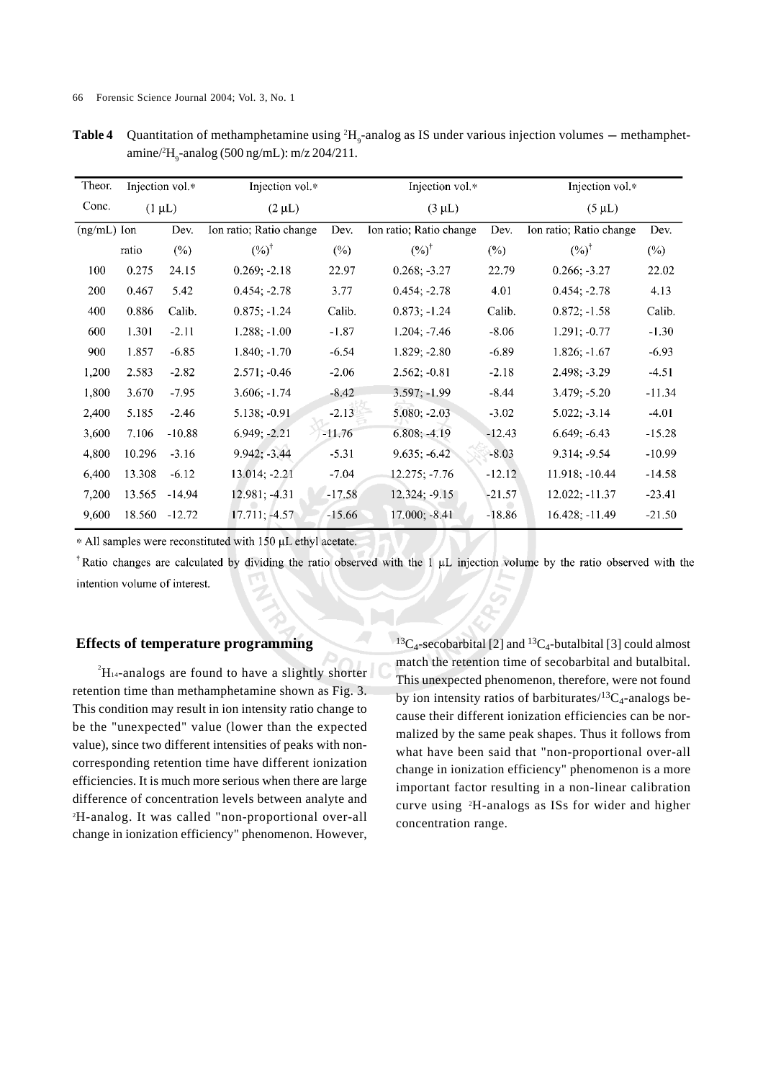| Theor.        | Injection vol.* |          | Injection vol.*         |          | Injection vol.*         |          | Injection vol.*         |             |  |
|---------------|-----------------|----------|-------------------------|----------|-------------------------|----------|-------------------------|-------------|--|
| Conc.         | $(1 \mu L)$     |          | $(2 \mu L)$             |          | $(3 \mu L)$             |          |                         | $(5 \mu L)$ |  |
| $(ng/mL)$ Ion |                 | Dev.     | Ion ratio; Ratio change | Dev.     | Ion ratio; Ratio change | Dev.     | Ion ratio; Ratio change | Dev.        |  |
|               | ratio           | $(\%)$   | $(%)^{\dagger}$         | $(\%)$   | $(%)^{\dagger}$         | $(\%)$   | $(%)^{\dagger}$         | $(\%)$      |  |
| 100           | 0.275           | 24.15    | $0.269; -2.18$          | 22.97    | $0.268; -3.27$          | 22.79    | $0.266; -3.27$          | 22.02       |  |
| 200           | 0.467           | 5.42     | $0.454; -2.78$          | 3.77     | $0.454; -2.78$          | 4.01     | $0.454: -2.78$          | 4.13        |  |
| 400           | 0.886           | Calib.   | $0.875: -1.24$          | Calib.   | $0.873; -1.24$          | Calib.   | $0.872; -1.58$          | Calib.      |  |
| 600           | 1.301           | $-2.11$  | $1.288; -1.00$          | $-1.87$  | $1.204; -7.46$          | $-8.06$  | $1.291; -0.77$          | $-1.30$     |  |
| 900           | 1.857           | $-6.85$  | $1.840; -1.70$          | $-6.54$  | $1.829; -2.80$          | $-6.89$  | $1.826: -1.67$          | $-6.93$     |  |
| 1,200         | 2.583           | $-2.82$  | $2.571; -0.46$          | $-2.06$  | $2.562; -0.81$          | $-2.18$  | $2.498; -3.29$          | $-4.51$     |  |
| 1,800         | 3.670           | $-7.95$  | $3.606; -1.74$          | $-8.42$  | $3.597: -1.99$          | $-8.44$  | $3.479; -5.20$          | $-11.34$    |  |
| 2,400         | 5.185           | $-2.46$  | $5.138; -0.91$          | $-2.13$  | $5.080; -2.03$          | $-3.02$  | $5.022: -3.14$          | $-4.01$     |  |
| 3,600         | 7.106           | $-10.88$ | $6.949; -2.21$          | $-11.76$ | $6.808; -4.19$          | $-12.43$ | $6.649; -6.43$          | $-15.28$    |  |
| 4,800         | 10.296          | $-3.16$  | $9.942; -3.44$          | $-5.31$  | $9.635; -6.42$          | $-8.03$  | $9.314; -9.54$          | $-10.99$    |  |
| 6,400         | 13.308          | $-6.12$  | 13.014; -2.21           | $-7.04$  | $12.275; -7.76$         | $-12.12$ | 11.918; -10.44          | $-14.58$    |  |
| 7,200         | 13.565          | $-14.94$ | $12.981; -4.31$         | $-17.58$ | 12.324; -9.15           | $-21.57$ | $12.022; -11.37$        | $-23.41$    |  |
| 9,600         | 18.560          | $-12.72$ | 17.711; -4.57           | $-15.66$ | $17.000; -8.41$         | $-18.86$ | $16.428; -11.49$        | $-21.50$    |  |

**Table 4** Quantitation of methamphetamine using  ${}^{2}H_{9}$ -analog as IS under various injection volumes – methamphetamine/<sup>2</sup>H<sub>9</sub>-analog (500 ng/mL): m/z 204/211.

\* All samples were reconstituted with 150 µL ethyl acetate.

<sup>†</sup>Ratio changes are calculated by dividing the ratio observed with the 1  $\mu$ L injection volume by the ratio observed with the intention volume of interest.

#### **Effects of temperature programming**

 ${}^{2}$ H<sub>14</sub>-analogs are found to have a slightly shorter retention time than methamphetamine shown as Fig. 3. This condition may result in ion intensity ratio change to be the "unexpected" value (lower than the expected value), since two different intensities of peaks with noncorresponding retention time have different ionization efficiencies. It is much more serious when there are large difference of concentration levels between analyte and 2 H-analog. It was called "non-proportional over-all change in ionization efficiency" phenomenon. However, <sup>13</sup>C<sub>4</sub>-secobarbital [2] and <sup>13</sup>C<sub>4</sub>-butalbital [3] could almost match the retention time of secobarbital and butalbital. This unexpected phenomenon, therefore, were not found by ion intensity ratios of barbiturates/ ${}^{13}C_4$ -analogs because their different ionization efficiencies can be normalized by the same peak shapes. Thus it follows from what have been said that "non-proportional over-all change in ionization efficiency" phenomenon is a more important factor resulting in a non-linear calibration curve using 2 H-analogs as ISs for wider and higher concentration range.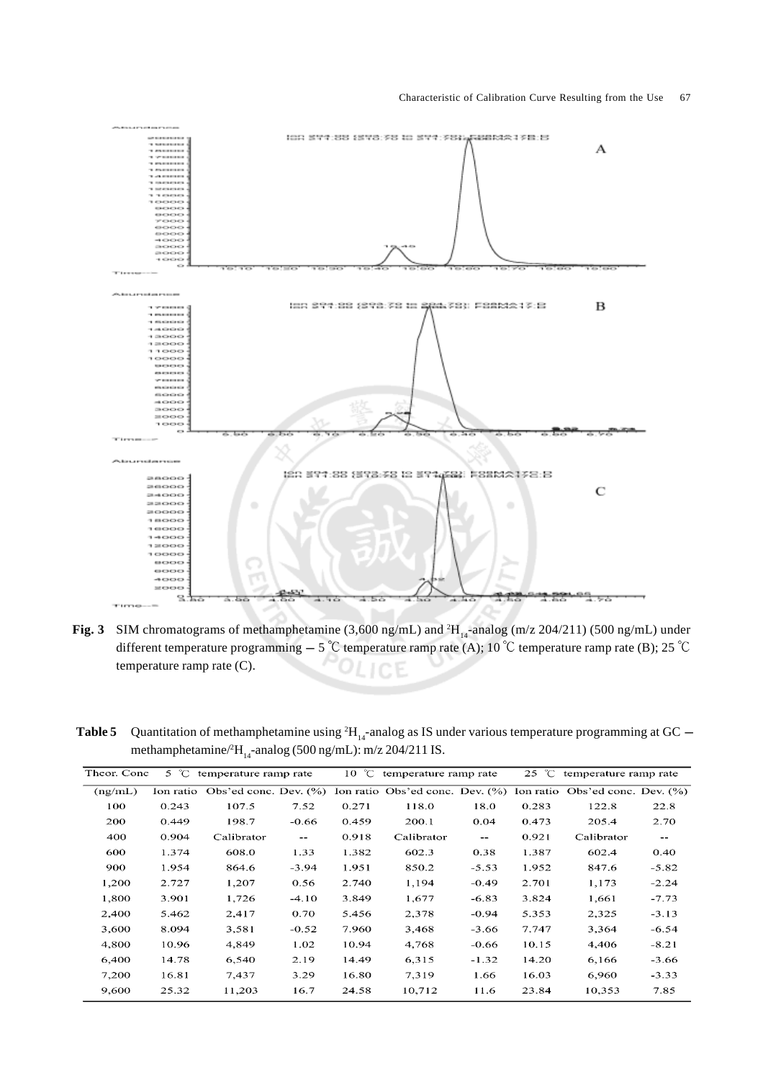

**Fig. 3** SIM chromatograms of methamphetamine (3,600 ng/mL) and  ${}^{2}H_{14}$ -analog (m/z 204/211) (500 ng/mL) under different temperature programming  $-5$  °C temperature ramp rate (A); 10 °C temperature ramp rate (B); 25 °C temperature ramp rate (C).

**Table 5** Quantitation of methamphetamine using  ${}^{2}H_{14}$ -analog as IS under various temperature programming at GC – methamphetamine/ ${}^{2}H_{14}$ -analog (500 ng/mL): m/z 204/211 IS.

| Theor. Conc<br>5 $\degree$ C temperature ramp rate |       |                                 | $10\degree$ C            | temperature ramp rate |                                 | $25\degree$ C            | temperature ramp rate |                                    |         |
|----------------------------------------------------|-------|---------------------------------|--------------------------|-----------------------|---------------------------------|--------------------------|-----------------------|------------------------------------|---------|
| (ng/mL)                                            |       | Ion ratio Obs'ed conc. Dev. (%) |                          |                       | Ion ratio Obs'ed conc. Dev. (%) |                          |                       | Ion ratio Obs'ed conc. Dev. $(\%)$ |         |
| 100                                                | 0.243 | 107.5                           | 7.52                     | 0.271                 | 118.0                           | 18.0                     | 0.283                 | 122.8                              | 22.8    |
| 200                                                | 0.449 | 198.7                           | $-0.66$                  | 0.459                 | 200.1                           | 0.04                     | 0.473                 | 205.4                              | 2.70    |
| 400                                                | 0.904 | Calibrator                      | $\overline{\phantom{m}}$ | 0.918                 | Calibrator                      | $\overline{\phantom{a}}$ | 0.921                 | Calibrator                         | $-\,-$  |
| 600                                                | 1.374 | 608.0                           | 1.33                     | 1.382                 | 602.3                           | 0.38                     | 1.387                 | 602.4                              | 0.40    |
| 900                                                | 1.954 | 864.6                           | $-3.94$                  | 1.951                 | 850.2                           | $-5.53$                  | 1.952                 | 847.6                              | $-5.82$ |
| 1,200                                              | 2.727 | 1,207                           | 0.56                     | 2.740                 | 1,194                           | $-0.49$                  | 2.701                 | 1,173                              | $-2.24$ |
| 1,800                                              | 3.901 | 1,726                           | $-4.10$                  | 3.849                 | 1,677                           | $-6.83$                  | 3.824                 | 1.661                              | $-7.73$ |
| 2,400                                              | 5.462 | 2,417                           | 0.70                     | 5.456                 | 2,378                           | -0.94                    | 5.353                 | 2,325                              | $-3.13$ |
| 3,600                                              | 8.094 | 3,581                           | $-0.52$                  | 7.960                 | 3,468                           | $-3.66$                  | 7.747                 | 3.364                              | $-6.54$ |
| 4,800                                              | 10.96 | 4,849                           | 1.02                     | 10.94                 | 4,768                           | $-0.66$                  | 10.15                 | 4,406                              | $-8.21$ |
| 6,400                                              | 14.78 | 6,540                           | 2.19                     | 14.49                 | 6,315                           | $-1.32$                  | 14.20                 | 6,166                              | $-3.66$ |
| 7,200                                              | 16.81 | 7.437                           | 3.29                     | 16.80                 | 7,319                           | 1.66                     | 16.03                 | 6,960                              | $-3.33$ |
| 9,600                                              | 25.32 | 11,203                          | 16.7                     | 24.58                 | 10,712                          | 11.6                     | 23.84                 | 10,353                             | 7.85    |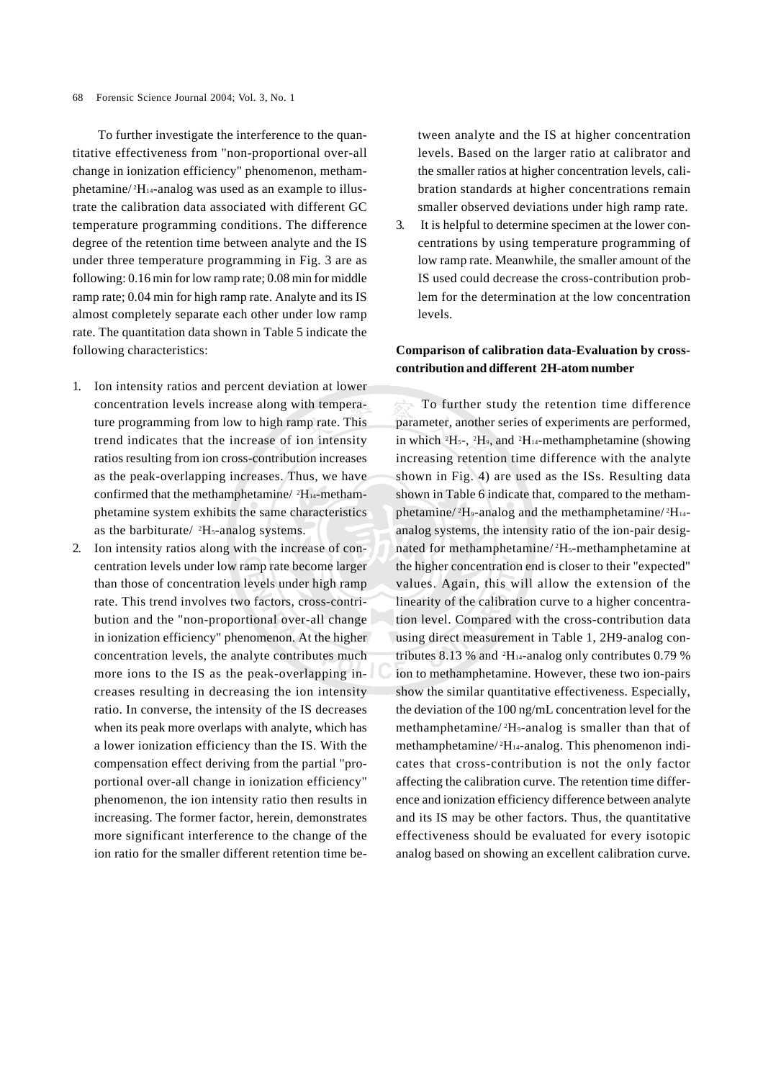To further investigate the interference to the quantitative effectiveness from "non-proportional over-all change in ionization efficiency" phenomenon, methamphetamine/<sup>2</sup>H<sub>14</sub>-analog was used as an example to illustrate the calibration data associated with different GC temperature programming conditions. The difference degree of the retention time between analyte and the IS under three temperature programming in Fig. 3 are as following: 0.16 min for low ramp rate; 0.08 min for middle ramp rate; 0.04 min for high ramp rate. Analyte and its IS almost completely separate each other under low ramp rate. The quantitation data shown in Table 5 indicate the following characteristics:

- 1. Ion intensity ratios and percent deviation at lower concentration levels increase along with temperature programming from low to high ramp rate. This trend indicates that the increase of ion intensity ratios resulting from ion cross-contribution increases as the peak-overlapping increases. Thus, we have confirmed that the methamphetamine/ <sup>2</sup>H<sub>14</sub>-methamphetamine system exhibits the same characteristics as the barbiturate/ <sup>2</sup>H<sub>5</sub>-analog systems.
- 2. Ion intensity ratios along with the increase of concentration levels under low ramp rate become larger than those of concentration levels under high ramp rate. This trend involves two factors, cross-contribution and the "non-proportional over-all change in ionization efficiency" phenomenon. At the higher concentration levels, the analyte contributes much more ions to the IS as the peak-overlapping increases resulting in decreasing the ion intensity ratio. In converse, the intensity of the IS decreases when its peak more overlaps with analyte, which has a lower ionization efficiency than the IS. With the compensation effect deriving from the partial "proportional over-all change in ionization efficiency" phenomenon, the ion intensity ratio then results in increasing. The former factor, herein, demonstrates more significant interference to the change of the ion ratio for the smaller different retention time be-

tween analyte and the IS at higher concentration levels. Based on the larger ratio at calibrator and the smaller ratios at higher concentration levels, calibration standards at higher concentrations remain smaller observed deviations under high ramp rate.

3. It is helpful to determine specimen at the lower concentrations by using temperature programming of low ramp rate. Meanwhile, the smaller amount of the IS used could decrease the cross-contribution problem for the determination at the low concentration levels.

## **Comparison of calibration data-Evaluation by crosscontribution and different 2H-atom number**

To further study the retention time difference parameter, another series of experiments are performed, in which  ${}^{2}H_{5}$ -,  ${}^{2}H_{9}$ , and  ${}^{2}H_{14}$ -methamphetamine (showing increasing retention time difference with the analyte shown in Fig. 4) are used as the ISs. Resulting data shown in Table 6 indicate that, compared to the methamphetamine/<sup>2</sup>H<sub>9</sub>-analog and the methamphetamine/<sup>2</sup>H<sub>14</sub>analog systems, the intensity ratio of the ion-pair designated for methamphetamine/<sup>2</sup>H<sub>5</sub>-methamphetamine at the higher concentration end is closer to their "expected" values. Again, this will allow the extension of the linearity of the calibration curve to a higher concentration level. Compared with the cross-contribution data using direct measurement in Table 1, 2H9-analog contributes 8.13 % and  $^2$ H<sub>14</sub>-analog only contributes 0.79 % ion to methamphetamine. However, these two ion-pairs show the similar quantitative effectiveness. Especially, the deviation of the 100 ng/mL concentration level for the methamphetamine/<sup>2</sup>H<sub>9</sub>-analog is smaller than that of methamphetamine/<sup>2</sup>H<sub>14</sub>-analog. This phenomenon indicates that cross-contribution is not the only factor affecting the calibration curve. The retention time difference and ionization efficiency difference between analyte and its IS may be other factors. Thus, the quantitative effectiveness should be evaluated for every isotopic analog based on showing an excellent calibration curve.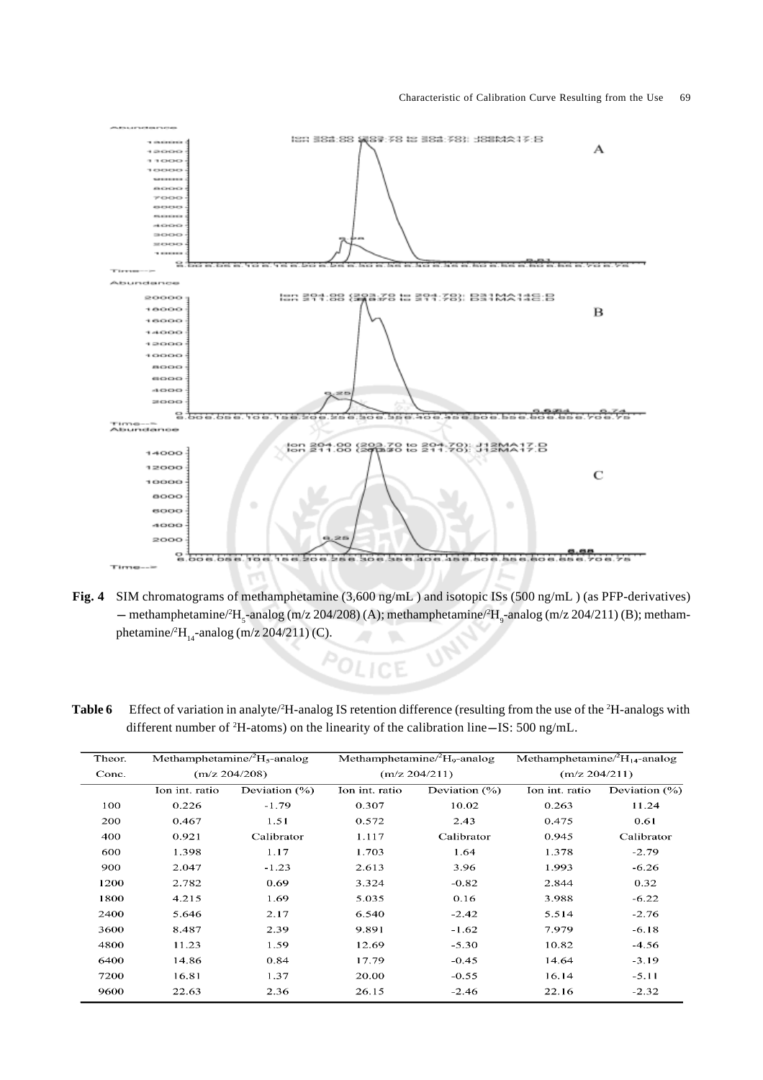

- **Fig. 4** SIM chromatograms of methamphetamine (3,600 ng/mL ) and isotopic ISs (500 ng/mL ) (as PFP-derivatives) SIM chromatograms of methamphetamine (3,600 ng/mL) and isotopic ISs (500 ng/mL) (as PFP-derivatives)<br>— methamphetamine/<sup>2</sup>H<sub>5</sub>-analog (m/z 204/208) (A); methamphetamine/<sup>2</sup>H<sub>9</sub>-analog (m/z 204/211) (B); methamphetamine/ ${}^{2}H_{14}$ -analog (m/z 204/211) (C).
- **Table 6** Effect of variation in analyte/<sup>2</sup>H-analog IS retention difference (resulting from the use of the <sup>2</sup>H-analogs with Effect of variation in analyte/<sup>2</sup>H-analog IS retention difference (resulting from the use of different number of <sup>2</sup>H-atoms) on the linearity of the calibration line–IS: 500 ng/mL.

| Theor. | Methamphetamine/ ${}^{2}H_{5}$ -analog |                  |                | Methamphetamine/ ${}^{2}H_{9}$ -analog | Methamphetamine/ ${}^{2}H_{14}$ -analog |               |  |
|--------|----------------------------------------|------------------|----------------|----------------------------------------|-----------------------------------------|---------------|--|
| Conc.  | (m/z 204/208)                          |                  |                | (m/z 204/211)                          |                                         | (m/z 204/211) |  |
|        | Ion int. ratio                         | Deviation $(\%)$ | Ion int. ratio | Deviation $(\%)$                       | Ion int. ratio                          | Deviation (%) |  |
| 100    | 0.226                                  | $-1.79$          | 0.307          | 10.02                                  | 0.263                                   | 11.24         |  |
| 200    | 0.467                                  | 1.51             | 0.572          | 2.43                                   | 0.475                                   | 0.61          |  |
| 400    | 0.921                                  | Calibrator       | 1.117          | Calibrator                             | 0.945                                   | Calibrator    |  |
| 600    | 1.398                                  | 1.17             | 1.703          | 1.64                                   | 1.378                                   | $-2.79$       |  |
| 900    | 2.047                                  | $-1.23$          | 2.613          | 3.96                                   | 1.993                                   | $-6.26$       |  |
| 1200   | 2.782                                  | 0.69             | 3.324          | $-0.82$                                | 2.844                                   | 0.32          |  |
| 1800   | 4.215                                  | 1.69             | 5.035          | 0.16                                   | 3.988                                   | $-6.22$       |  |
| 2400   | 5.646                                  | 2.17             | 6.540          | $-2.42$                                | 5.514                                   | $-2.76$       |  |
| 3600   | 8.487                                  | 2.39             | 9.891          | $-1.62$                                | 7.979                                   | $-6.18$       |  |
| 4800   | 11.23                                  | 1.59             | 12.69          | $-5.30$                                | 10.82                                   | $-4.56$       |  |
| 6400   | 14.86                                  | 0.84             | 17.79          | $-0.45$                                | 14.64                                   | $-3.19$       |  |
| 7200   | 16.81                                  | 1.37             | 20.00          | $-0.55$                                | 16.14                                   | $-5.11$       |  |
| 9600   | 22.63                                  | 2.36             | 26.15          | $-2.46$                                | 22.16                                   | $-2.32$       |  |